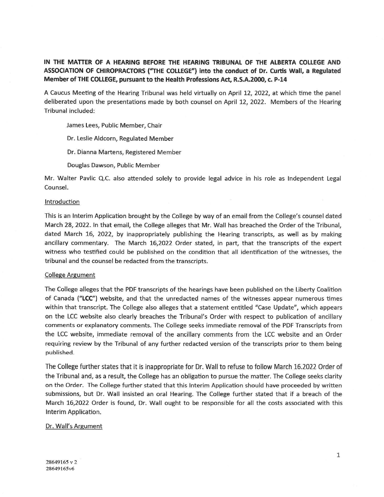# **IN THE MATTER OF A HEARING BEFORE THE HEARING TRIBUNAL OF THE ALBERTA COLLEGE AND ASSOCIATION OF CHIROPRACTORS ("THE COLLEGE") into the conduct of Dr. Curtis Wall, a Regulated Member of THE COLLEGE, pursuant to the Health Professions Act, R.S.A.2000, c. P-14**

A Caucus Meeting of the Hearing Tribunal was held virtually on April 12, 2022, at which time the panel deliberated upon the presentations made by both counsel on April 12, 2022. Members of the Hearing Tribunal included:

James Lees, Public Member, Chair

Dr. Leslie Aldcorn, Regulated Member

Dr. Dianna Martens, Registered Member

Douglas Dawson, Public Member

Mr. Walter Pavlic Q.C. also attended solely to provide legal advice in his role as Independent Legal Counsel.

## Introduction

This is an Interim Application brought by the College by way of an email from the College's counsel dated March 28, 2022. In that email, the College alleges that Mr. Wall has breached the Order of the Tribunal, dated March 16, 2022, by inappropriately publishing the Hearing transcripts, as well as by making ancillary commentary. The March 16,2022 Order stated, in part, that the transcripts of the expert witness who testified could be published on the condition that all identification of the witnesses, the tribunal and the counsel be redacted from the transcripts.

## College Argument

The College alleges that the PDF transcripts of the hearings have been published on the Liberty Coalition of Canada **("LCC"}** website, and that the unredacted names of the witnesses appear numerous times within that transcript. The College also alleges that a statement entitled "Case Update", which appears on the LCC website also clearly breaches the Tribunal's Order with respect to publication of ancillary comments or explanatory comments. The College seeks immediate removal of the PDF Transcripts from the LCC website, immediate removal of the ancillary comments from the LCC website and an Order requiring review by the Tribunal of any further redacted version of the transcripts prior to them being published.

The College further states that it is inappropriate for Dr. Wall to refuse to follow March 16.2022 Order of the Tribunal and, as a result, the College has an obligation to pursue the matter. The College seeks clarity on the Order. The College further stated that this Interim Application should have proceeded by written submissions, but Dr. Wall insisted an oral Hearing. The College further stated that if a breach of the March 16,2022 Order is found, Dr. Wall ought to be responsible for all the costs associated with this Interim Application.

## Dr. Wall's Argument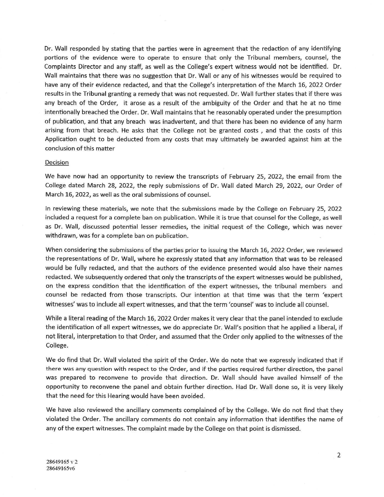Dr. Wall responded by stating that the parties were in agreement that the redaction of any identifying portions of the evidence were to operate to ensure that only the Tribunal members, counsel, the Complaints Director and any staff, as well as the College's expert witness would not be identified. Dr. Wall maintains that there was no suggestion that Dr. Wall or any of his witnesses would be required to have any of their evidence redacted, and that the College's interpretation of the March 16, 2022 Order results in the Tribunal granting a remedy that was not requested. Dr. Wall further states that if there was any breach of the Order, it arose as a result of the ambiguity of the Order and that he at no time intentionally breached the Order. Dr. Wall maintains that he reasonably operated under the presumption of publication, and that any breach was inadvertent, and that there has been no evidence of any harm arising from that breach. He asks that the College not be granted costs , and that the costs of this Application ought to be deducted from any costs that may ultimately be awarded against him at the conclusion of this matter

## Decision

We have now had an opportunity to review the transcripts of February 25, 2022, the email from the College dated March 28, 2022, the reply submissions of Dr. Wall dated March 29, 2022, our Order of March 16, 2022, as well as the oral submissions of counsel.

In reviewing these materials, we note that the submissions made by the College on February 25, 2022 included a request for a complete ban on publication. While it is true that counsel for the College, as well as Dr. Wall, discussed potential lesser remedies, the initial request of the College, which was never withdrawn, was for a complete ban on publication.

When considering the submissions of the parties prior to issuing the March 16, 2022 Order, we reviewed the representations of Dr. Wall, where he expressly stated that any information that was to be released would be fully redacted, and that the authors of the evidence presented would also have their names redacted. We subsequently ordered that only the transcripts of the expert witnesses would be published, on the express condition that the identification of the expert witnesses, the tribunal members and counsel be redacted from those transcripts. Our intention at that time was that the term 'expert witnesses' was to include all expert witnesses, and that the term 'counsel' was to include all counsel.

While a literal reading of the March 16, 2022 Order makes it very clear that the panel intended to exclude the identification of all expert witnesses, we do appreciate Dr. Wall's position that he applied a liberal, if not literal, interpretation to that Order, and assumed that the Order only applied to the witnesses of the College.

We do find that Dr. Wall violated the spirit of the Order. We do note that we expressly indicated that if there was any question with respect to the Order, and if the parties required further direction, the panel was prepared to reconvene to provide that direction. Dr. Wall should have availed himself of the opportunity to reconvene the panel and obtain further direction. Had Dr. Wall done so, it is very likely that the need for this Hearing would have been avoided.

We have also reviewed the ancillary comments complained of by the College. We do not find that they violated the Order. The ancillary comments do not contain any information that identifies the name of any of the expert witnesses. The complaint made by the College on that point is dismissed.